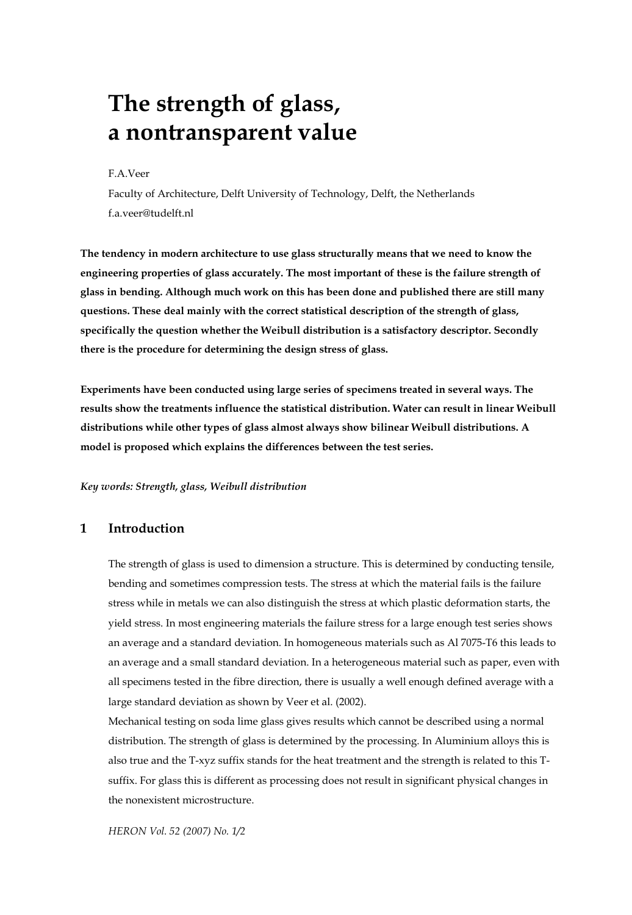# **The strength of glass, a nontransparent value**

#### F.A.Veer

Faculty of Architecture, Delft University of Technology, Delft, the Netherlands f.a.veer@tudelft.nl

**The tendency in modern architecture to use glass structurally means that we need to know the engineering properties of glass accurately. The most important of these is the failure strength of glass in bending. Although much work on this has been done and published there are still many questions. These deal mainly with the correct statistical description of the strength of glass, specifically the question whether the Weibull distribution is a satisfactory descriptor. Secondly there is the procedure for determining the design stress of glass.** 

**Experiments have been conducted using large series of specimens treated in several ways. The results show the treatments influence the statistical distribution. Water can result in linear Weibull distributions while other types of glass almost always show bilinear Weibull distributions. A model is proposed which explains the differences between the test series.** 

*Key words: Strength, glass, Weibull distribution* 

### **1 Introduction**

The strength of glass is used to dimension a structure. This is determined by conducting tensile, bending and sometimes compression tests. The stress at which the material fails is the failure stress while in metals we can also distinguish the stress at which plastic deformation starts, the yield stress. In most engineering materials the failure stress for a large enough test series shows an average and a standard deviation. In homogeneous materials such as Al 7075-T6 this leads to an average and a small standard deviation. In a heterogeneous material such as paper, even with all specimens tested in the fibre direction, there is usually a well enough defined average with a large standard deviation as shown by Veer et al. (2002).

Mechanical testing on soda lime glass gives results which cannot be described using a normal distribution. The strength of glass is determined by the processing. In Aluminium alloys this is also true and the T-xyz suffix stands for the heat treatment and the strength is related to this Tsuffix. For glass this is different as processing does not result in significant physical changes in the nonexistent microstructure.

*HERON Vol. 52 (2007) No. 1/2*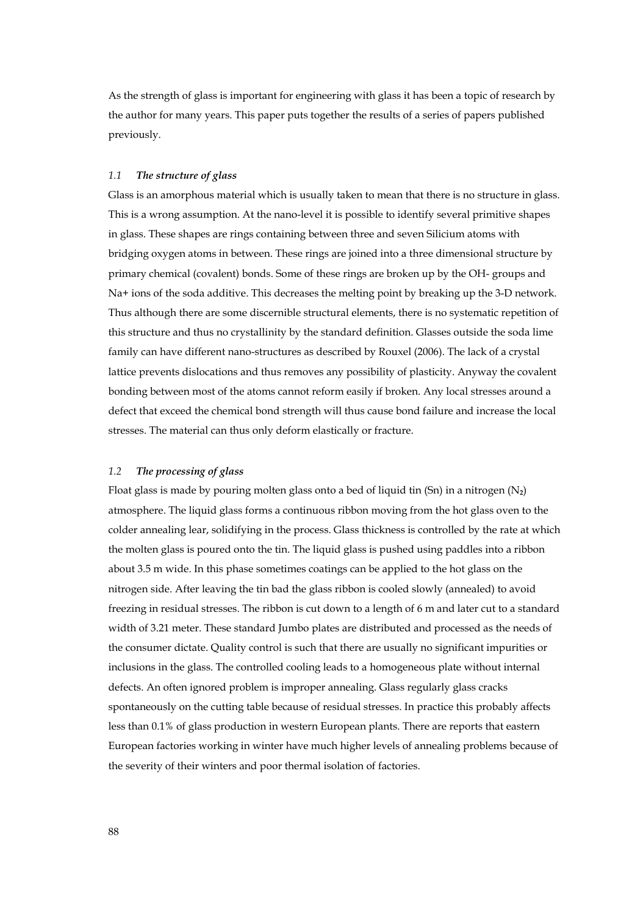As the strength of glass is important for engineering with glass it has been a topic of research by the author for many years. This paper puts together the results of a series of papers published previously.

#### *1.1 The structure of glass*

Glass is an amorphous material which is usually taken to mean that there is no structure in glass. This is a wrong assumption. At the nano-level it is possible to identify several primitive shapes in glass. These shapes are rings containing between three and seven Silicium atoms with bridging oxygen atoms in between. These rings are joined into a three dimensional structure by primary chemical (covalent) bonds. Some of these rings are broken up by the OH- groups and Na+ ions of the soda additive. This decreases the melting point by breaking up the 3-D network. Thus although there are some discernible structural elements, there is no systematic repetition of this structure and thus no crystallinity by the standard definition. Glasses outside the soda lime family can have different nano-structures as described by Rouxel (2006). The lack of a crystal lattice prevents dislocations and thus removes any possibility of plasticity. Anyway the covalent bonding between most of the atoms cannot reform easily if broken. Any local stresses around a defect that exceed the chemical bond strength will thus cause bond failure and increase the local stresses. The material can thus only deform elastically or fracture.

#### *1.2 The processing of glass*

Float glass is made by pouring molten glass onto a bed of liquid tin (Sn) in a nitrogen (N**2**) atmosphere. The liquid glass forms a continuous ribbon moving from the hot glass oven to the colder annealing lear, solidifying in the process. Glass thickness is controlled by the rate at which the molten glass is poured onto the tin. The liquid glass is pushed using paddles into a ribbon about 3.5 m wide. In this phase sometimes coatings can be applied to the hot glass on the nitrogen side. After leaving the tin bad the glass ribbon is cooled slowly (annealed) to avoid freezing in residual stresses. The ribbon is cut down to a length of 6 m and later cut to a standard width of 3.21 meter. These standard Jumbo plates are distributed and processed as the needs of the consumer dictate. Quality control is such that there are usually no significant impurities or inclusions in the glass. The controlled cooling leads to a homogeneous plate without internal defects. An often ignored problem is improper annealing. Glass regularly glass cracks spontaneously on the cutting table because of residual stresses. In practice this probably affects less than 0.1% of glass production in western European plants. There are reports that eastern European factories working in winter have much higher levels of annealing problems because of the severity of their winters and poor thermal isolation of factories.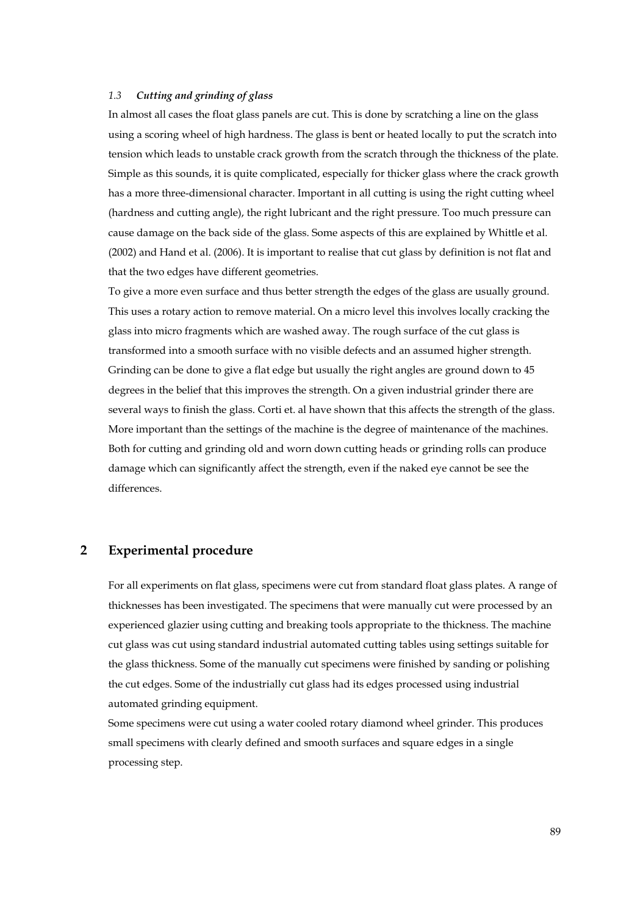#### *1.3 Cutting and grinding of glass*

In almost all cases the float glass panels are cut. This is done by scratching a line on the glass using a scoring wheel of high hardness. The glass is bent or heated locally to put the scratch into tension which leads to unstable crack growth from the scratch through the thickness of the plate. Simple as this sounds, it is quite complicated, especially for thicker glass where the crack growth has a more three-dimensional character. Important in all cutting is using the right cutting wheel (hardness and cutting angle), the right lubricant and the right pressure. Too much pressure can cause damage on the back side of the glass. Some aspects of this are explained by Whittle et al. (2002) and Hand et al. (2006). It is important to realise that cut glass by definition is not flat and that the two edges have different geometries.

To give a more even surface and thus better strength the edges of the glass are usually ground. This uses a rotary action to remove material. On a micro level this involves locally cracking the glass into micro fragments which are washed away. The rough surface of the cut glass is transformed into a smooth surface with no visible defects and an assumed higher strength. Grinding can be done to give a flat edge but usually the right angles are ground down to 45 degrees in the belief that this improves the strength. On a given industrial grinder there are several ways to finish the glass. Corti et. al have shown that this affects the strength of the glass. More important than the settings of the machine is the degree of maintenance of the machines. Both for cutting and grinding old and worn down cutting heads or grinding rolls can produce damage which can significantly affect the strength, even if the naked eye cannot be see the differences.

## **2 Experimental procedure**

For all experiments on flat glass, specimens were cut from standard float glass plates. A range of thicknesses has been investigated. The specimens that were manually cut were processed by an experienced glazier using cutting and breaking tools appropriate to the thickness. The machine cut glass was cut using standard industrial automated cutting tables using settings suitable for the glass thickness. Some of the manually cut specimens were finished by sanding or polishing the cut edges. Some of the industrially cut glass had its edges processed using industrial automated grinding equipment.

Some specimens were cut using a water cooled rotary diamond wheel grinder. This produces small specimens with clearly defined and smooth surfaces and square edges in a single processing step.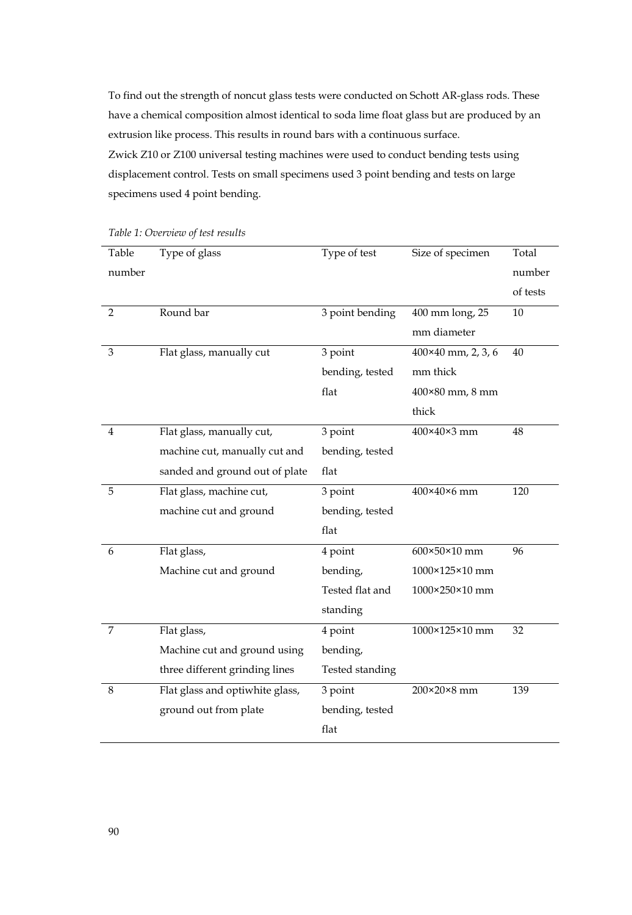To find out the strength of noncut glass tests were conducted on Schott AR-glass rods. These have a chemical composition almost identical to soda lime float glass but are produced by an extrusion like process. This results in round bars with a continuous surface. Zwick Z10 or Z100 universal testing machines were used to conduct bending tests using displacement control. Tests on small specimens used 3 point bending and tests on large specimens used 4 point bending.

| Table          | Type of glass                   | Type of test    | Size of specimen          | Total    |
|----------------|---------------------------------|-----------------|---------------------------|----------|
| number         |                                 |                 |                           | number   |
|                |                                 |                 |                           | of tests |
| $\overline{2}$ | Round bar                       | 3 point bending | 400 mm long, 25           | 10       |
|                |                                 |                 | mm diameter               |          |
| 3              | Flat glass, manually cut        | 3 point         | $400\times40$ mm, 2, 3, 6 | 40       |
|                |                                 | bending, tested | mm thick                  |          |
|                |                                 | flat            | $400\times80$ mm, $8$ mm  |          |
|                |                                 |                 | thick                     |          |
| $\overline{4}$ | Flat glass, manually cut,       | 3 point         | 400×40×3 mm               | 48       |
|                | machine cut, manually cut and   | bending, tested |                           |          |
|                | sanded and ground out of plate  | flat            |                           |          |
| 5              | Flat glass, machine cut,        | 3 point         | 400×40×6 mm               | 120      |
|                | machine cut and ground          | bending, tested |                           |          |
|                |                                 | flat            |                           |          |
| 6              | Flat glass,                     | 4 point         | 600×50×10 mm              | 96       |
|                | Machine cut and ground          | bending,        | 1000×125×10 mm            |          |
|                |                                 | Tested flat and | 1000×250×10 mm            |          |
|                |                                 | standing        |                           |          |
| 7              | Flat glass,                     | 4 point         | 1000×125×10 mm            | 32       |
|                | Machine cut and ground using    | bending,        |                           |          |
|                | three different grinding lines  | Tested standing |                           |          |
| 8              | Flat glass and optiwhite glass, | 3 point         | 200×20×8 mm               | 139      |
|                | ground out from plate           | bending, tested |                           |          |
|                |                                 | flat            |                           |          |

*Table 1: Overview of test results*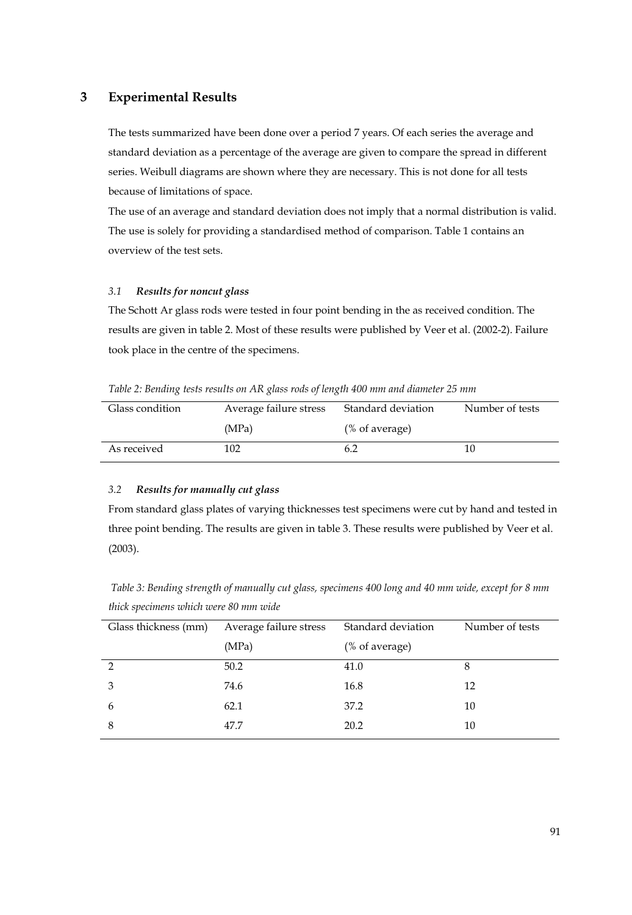## **3 Experimental Results**

The tests summarized have been done over a period 7 years. Of each series the average and standard deviation as a percentage of the average are given to compare the spread in different series. Weibull diagrams are shown where they are necessary. This is not done for all tests because of limitations of space.

The use of an average and standard deviation does not imply that a normal distribution is valid. The use is solely for providing a standardised method of comparison. Table 1 contains an overview of the test sets.

#### *3.1 Results for noncut glass*

The Schott Ar glass rods were tested in four point bending in the as received condition. The results are given in table 2. Most of these results were published by Veer et al. (2002-2). Failure took place in the centre of the specimens.

*Table 2: Bending tests results on AR glass rods of length 400 mm and diameter 25 mm* 

| Glass condition | Average failure stress | Standard deviation<br>Number of tests |    |
|-----------------|------------------------|---------------------------------------|----|
|                 | (MPa)                  | (% of average)                        |    |
| As received     | 102                    | 6.2                                   | 10 |

#### *3.2 Results for manually cut glass*

From standard glass plates of varying thicknesses test specimens were cut by hand and tested in three point bending. The results are given in table 3. These results were published by Veer et al. (2003).

*Table 3: Bending strength of manually cut glass, specimens 400 long and 40 mm wide, except for 8 mm thick specimens which were 80 mm wide* 

| Glass thickness (mm) | Average failure stress | Standard deviation | Number of tests |
|----------------------|------------------------|--------------------|-----------------|
|                      | (MPa)                  | (% of average)     |                 |
| っ                    | 50.2                   | 41.0               | 8               |
| 3                    | 74.6                   | 16.8               | 12              |
| 6                    | 62.1                   | 37.2               | 10              |
| 8                    | 47.7                   | 20.2               | 10              |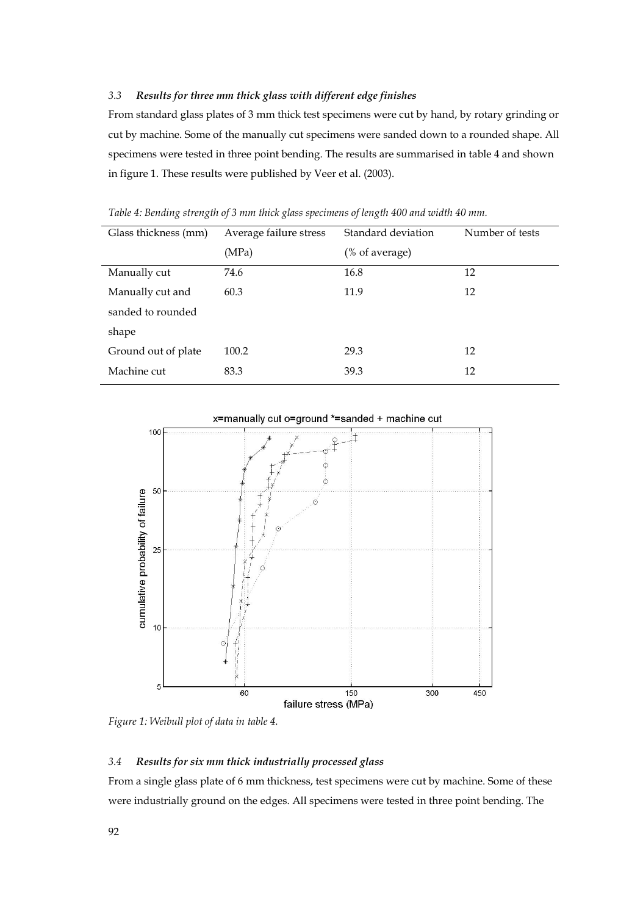#### *3.3 Results for three mm thick glass with different edge finishes*

From standard glass plates of 3 mm thick test specimens were cut by hand, by rotary grinding or cut by machine. Some of the manually cut specimens were sanded down to a rounded shape. All specimens were tested in three point bending. The results are summarised in table 4 and shown in figure 1. These results were published by Veer et al. (2003).

| Glass thickness (mm) | Average failure stress | Standard deviation | Number of tests |
|----------------------|------------------------|--------------------|-----------------|
|                      | (MPa)                  | (% of average)     |                 |
| Manually cut         | 74.6                   | 16.8               | 12              |
| Manually cut and     | 60.3                   | 11.9               | 12              |
| sanded to rounded    |                        |                    |                 |
| shape                |                        |                    |                 |
| Ground out of plate  | 100.2                  | 29.3               | 12              |
| Machine cut          | 83.3                   | 39.3               | 12              |

*Table 4: Bending strength of 3 mm thick glass specimens of length 400 and width 40 mm.* 



*Figure 1: Weibull plot of data in table 4.* 

#### *3.4 Results for six mm thick industrially processed glass*

From a single glass plate of 6 mm thickness, test specimens were cut by machine. Some of these were industrially ground on the edges. All specimens were tested in three point bending. The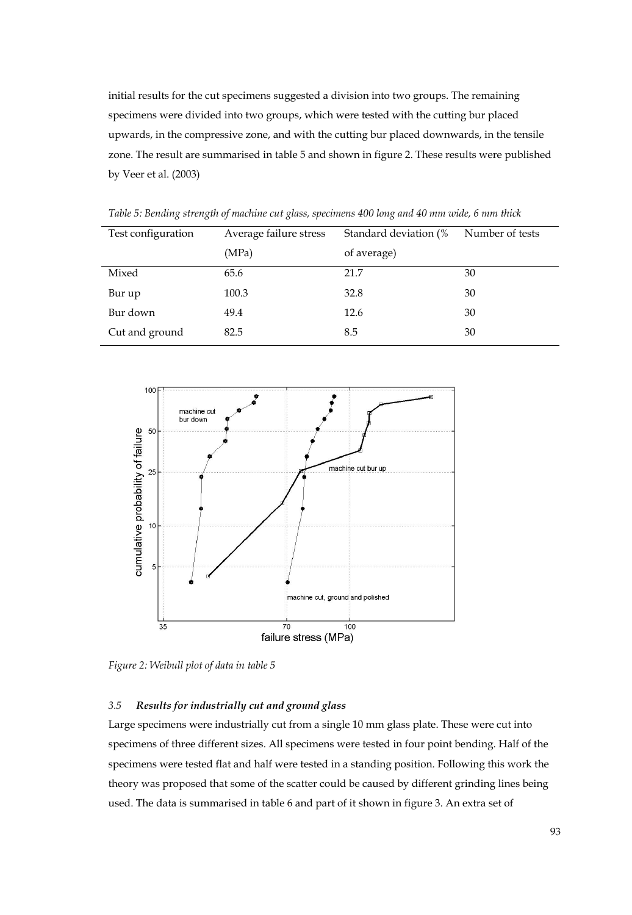initial results for the cut specimens suggested a division into two groups. The remaining specimens were divided into two groups, which were tested with the cutting bur placed upwards, in the compressive zone, and with the cutting bur placed downwards, in the tensile zone. The result are summarised in table 5 and shown in figure 2. These results were published by Veer et al. (2003)

| Test configuration | Average failure stress | Standard deviation (% | Number of tests |
|--------------------|------------------------|-----------------------|-----------------|
|                    | (MPa)                  | of average)           |                 |
| Mixed              | 65.6                   | 21.7                  | 30              |
| Bur up             | 100.3                  | 32.8                  | 30              |
| Bur down           | 49.4                   | 12.6                  | 30              |
| Cut and ground     | 82.5                   | 8.5                   | 30              |

*Table 5: Bending strength of machine cut glass, specimens 400 long and 40 mm wide, 6 mm thick* 



*Figure 2: Weibull plot of data in table 5* 

#### *3.5 Results for industrially cut and ground glass*

Large specimens were industrially cut from a single 10 mm glass plate. These were cut into specimens of three different sizes. All specimens were tested in four point bending. Half of the specimens were tested flat and half were tested in a standing position. Following this work the theory was proposed that some of the scatter could be caused by different grinding lines being used. The data is summarised in table 6 and part of it shown in figure 3. An extra set of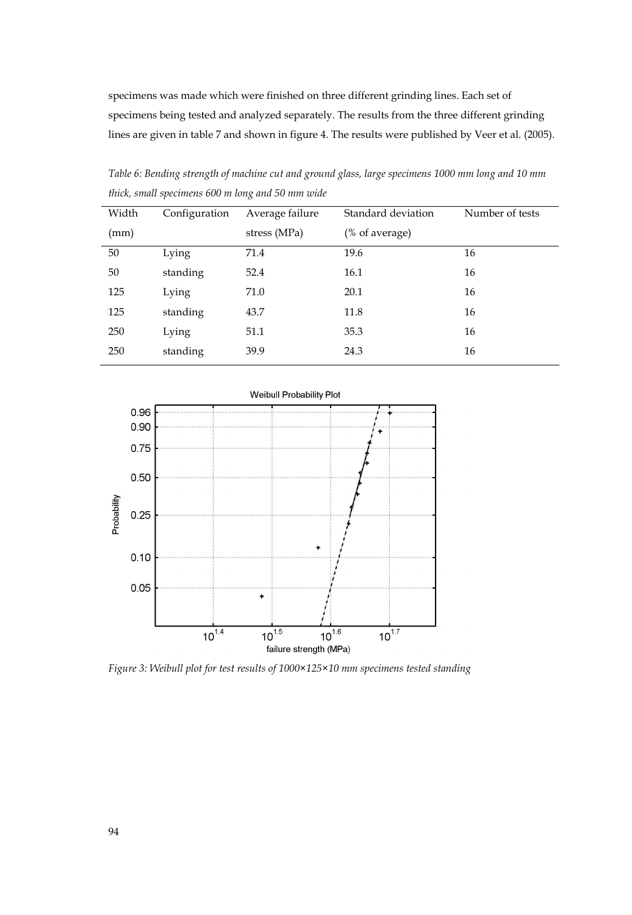specimens was made which were finished on three different grinding lines. Each set of specimens being tested and analyzed separately. The results from the three different grinding lines are given in table 7 and shown in figure 4. The results were published by Veer et al. (2005).

| Width | Configuration | Average failure | Standard deviation | Number of tests |
|-------|---------------|-----------------|--------------------|-----------------|
| (mm)  |               | stress (MPa)    | (% of average)     |                 |
| 50    | Lying         | 71.4            | 19.6               | 16              |
| 50    | standing      | 52.4            | 16.1               | 16              |
| 125   | Lying         | 71.0            | 20.1               | 16              |
| 125   | standing      | 43.7            | 11.8               | 16              |
| 250   | Lying         | 51.1            | 35.3               | 16              |
| 250   | standing      | 39.9            | 24.3               | 16              |
|       |               |                 |                    |                 |

*Table 6: Bending strength of machine cut and ground glass, large specimens 1000 mm long and 10 mm thick, small specimens 600 m long and 50 mm wide* 



*Figure 3: Weibull plot for test results of 1000×125×10 mm specimens tested standing*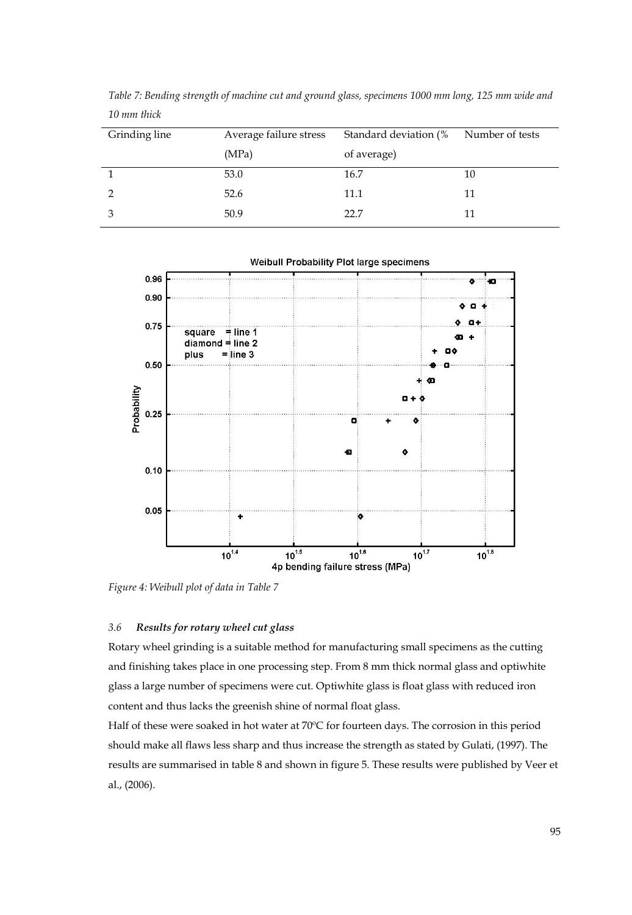| Grinding line | Average failure stress | Standard deviation (% | Number of tests |
|---------------|------------------------|-----------------------|-----------------|
|               | (MPa)                  | of average)           |                 |
|               | 53.0                   | 16.7                  | 10              |
|               | 52.6                   | 11.1                  | 11              |
|               | 50.9                   | 22.7                  | 11              |

*Table 7: Bending strength of machine cut and ground glass, specimens 1000 mm long, 125 mm wide and 10 mm thick* 

Weibull Probability Plot large specimens



*Figure 4: Weibull plot of data in Table 7*

### *3.6 Results for rotary wheel cut glass*

Rotary wheel grinding is a suitable method for manufacturing small specimens as the cutting and finishing takes place in one processing step. From 8 mm thick normal glass and optiwhite glass a large number of specimens were cut. Optiwhite glass is float glass with reduced iron content and thus lacks the greenish shine of normal float glass.

Half of these were soaked in hot water at 70ºC for fourteen days. The corrosion in this period should make all flaws less sharp and thus increase the strength as stated by Gulati, (1997). The results are summarised in table 8 and shown in figure 5. These results were published by Veer et al., (2006).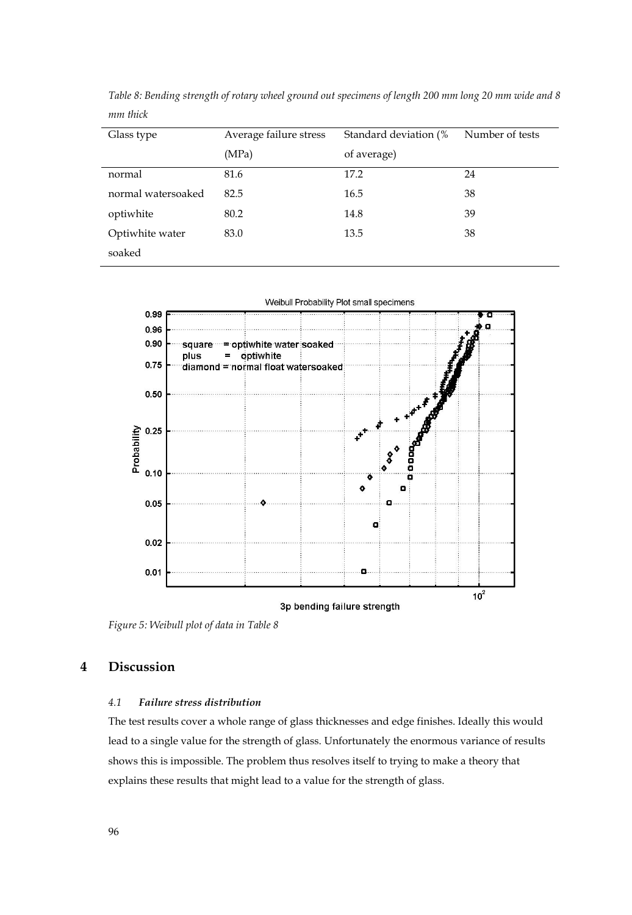| Glass type         | Average failure stress | Standard deviation (% | Number of tests |
|--------------------|------------------------|-----------------------|-----------------|
|                    | (MPa)                  | of average)           |                 |
| normal             | 81.6                   | 17.2                  | 24              |
| normal watersoaked | 82.5                   | 16.5                  | 38              |
| optiwhite          | 80.2                   | 14.8                  | 39              |
| Optiwhite water    | 83.0                   | 13.5                  | 38              |
| soaked             |                        |                       |                 |

*Table 8: Bending strength of rotary wheel ground out specimens of length 200 mm long 20 mm wide and 8 mm thick* 



*Figure 5: Weibull plot of data in Table 8* 

## **4 Discussion**

#### *4.1 Failure stress distribution*

The test results cover a whole range of glass thicknesses and edge finishes. Ideally this would lead to a single value for the strength of glass. Unfortunately the enormous variance of results shows this is impossible. The problem thus resolves itself to trying to make a theory that explains these results that might lead to a value for the strength of glass.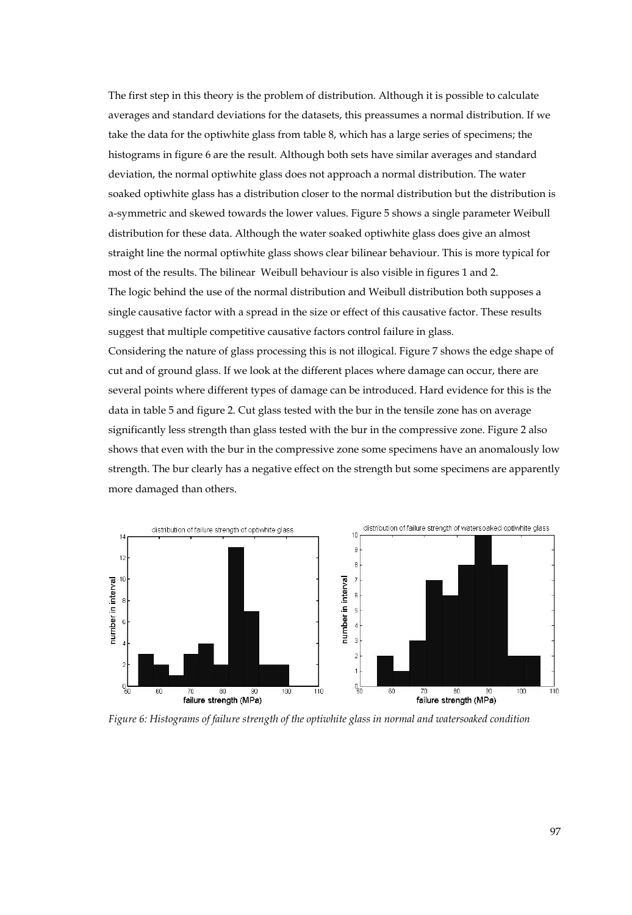The first step in this theory is the problem of distribution. Although it is possible to calculate averages and standard deviations for the datasets, this preassumes a normal distribution. If we take the data for the optiwhite glass from table 8, which has a large series of specimens; the histograms in figure 6 are the result. Although both sets have similar averages and standard deviation, the normal optiwhite glass does not approach a normal distribution. The water soaked optiwhite glass has a distribution closer to the normal distribution but the distribution is a-symmetric and skewed towards the lower values. Figure 5 shows a single parameter Weibull distribution for these data. Although the water soaked optiwhite glass does give an almost straight line the normal optiwhite glass shows clear bilinear behaviour. This is more typical for most of the results. The bilinear Weibull behaviour is also visible in figures 1 and 2. The logic behind the use of the normal distribution and Weibull distribution both supposes a single causative factor with a spread in the size or effect of this causative factor. These results suggest that multiple competitive causative factors control failure in glass.

Considering the nature of glass processing this is not illogical. Figure 7 shows the edge shape of cut and of ground glass. If we look at the different places where damage can occur, there are several points where different types of damage can be introduced. Hard evidence for this is the data in table 5 and figure 2. Cut glass tested with the bur in the tensile zone has on average significantly less strength than glass tested with the bur in the compressive zone. Figure 2 also shows that even with the bur in the compressive zone some specimens have an anomalously low strength. The bur clearly has a negative effect on the strength but some specimens are apparently more damaged than others.



*Figure 6: Histograms of failure strength of the optiwhite glass in normal and watersoaked condition*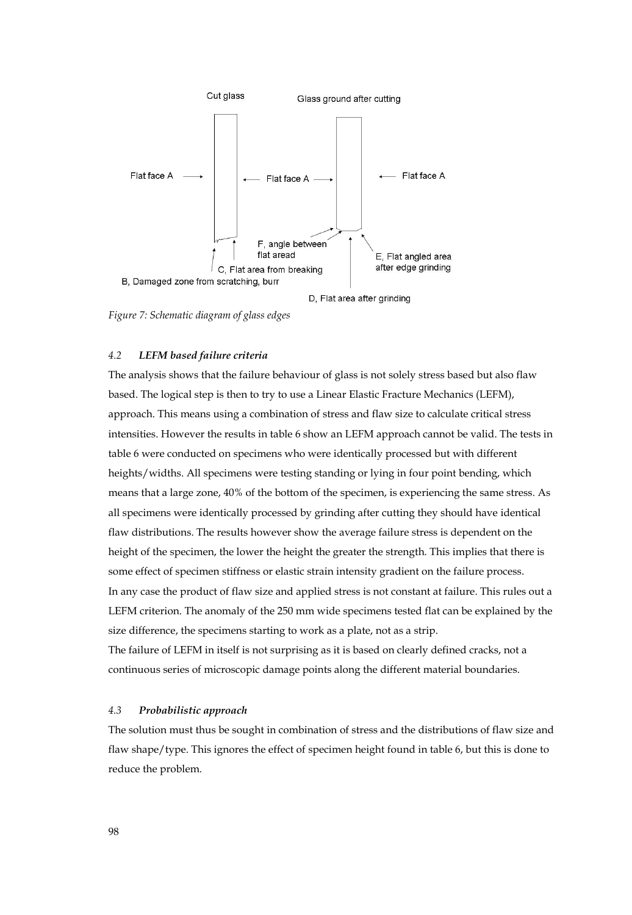

*Figure 7: Schematic diagram of glass edges* 

#### *4.2 LEFM based failure criteria*

The analysis shows that the failure behaviour of glass is not solely stress based but also flaw based. The logical step is then to try to use a Linear Elastic Fracture Mechanics (LEFM), approach. This means using a combination of stress and flaw size to calculate critical stress intensities. However the results in table 6 show an LEFM approach cannot be valid. The tests in table 6 were conducted on specimens who were identically processed but with different heights/widths. All specimens were testing standing or lying in four point bending, which means that a large zone, 40% of the bottom of the specimen, is experiencing the same stress. As all specimens were identically processed by grinding after cutting they should have identical flaw distributions. The results however show the average failure stress is dependent on the height of the specimen, the lower the height the greater the strength. This implies that there is some effect of specimen stiffness or elastic strain intensity gradient on the failure process. In any case the product of flaw size and applied stress is not constant at failure. This rules out a LEFM criterion. The anomaly of the 250 mm wide specimens tested flat can be explained by the size difference, the specimens starting to work as a plate, not as a strip. The failure of LEFM in itself is not surprising as it is based on clearly defined cracks, not a

#### *4.3 Probabilistic approach*

The solution must thus be sought in combination of stress and the distributions of flaw size and flaw shape/type. This ignores the effect of specimen height found in table 6, but this is done to reduce the problem.

continuous series of microscopic damage points along the different material boundaries.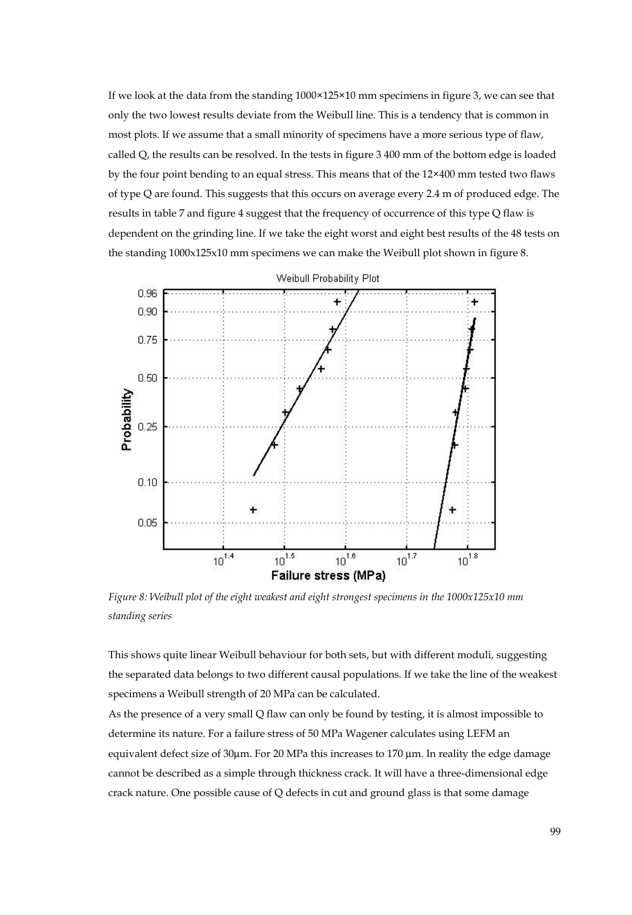If we look at the data from the standing 1000×125×10 mm specimens in figure 3, we can see that only the two lowest results deviate from the Weibull line. This is a tendency that is common in most plots. If we assume that a small minority of specimens have a more serious type of flaw, called Q, the results can be resolved. In the tests in figure 3 400 mm of the bottom edge is loaded by the four point bending to an equal stress. This means that of the 12×400 mm tested two flaws of type Q are found. This suggests that this occurs on average every 2.4 m of produced edge. The results in table 7 and figure 4 suggest that the frequency of occurrence of this type Q flaw is dependent on the grinding line. If we take the eight worst and eight best results of the 48 tests on the standing 1000x125x10 mm specimens we can make the Weibull plot shown in figure 8.



*Figure 8: Weibull plot of the eight weakest and eight strongest specimens in the 1000x125x10 mm standing series* 

This shows quite linear Weibull behaviour for both sets, but with different moduli, suggesting the separated data belongs to two different causal populations. If we take the line of the weakest specimens a Weibull strength of 20 MPa can be calculated.

As the presence of a very small Q flaw can only be found by testing, it is almost impossible to determine its nature. For a failure stress of 50 MPa Wagener calculates using LEFM an equivalent defect size of 30μm. For 20 MPa this increases to 170 μm. In reality the edge damage cannot be described as a simple through thickness crack. It will have a three-dimensional edge crack nature. One possible cause of Q defects in cut and ground glass is that some damage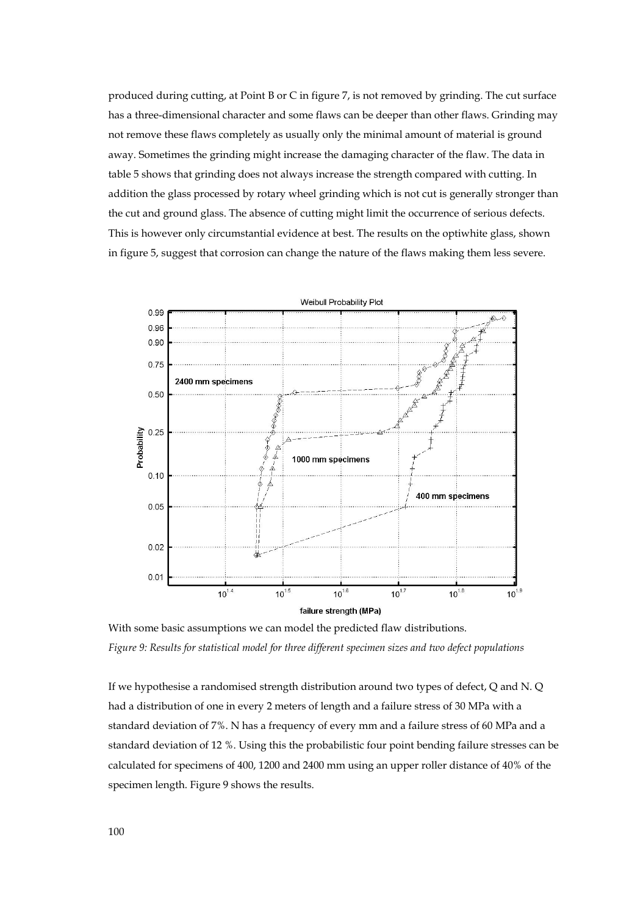produced during cutting, at Point B or C in figure 7, is not removed by grinding. The cut surface has a three-dimensional character and some flaws can be deeper than other flaws. Grinding may not remove these flaws completely as usually only the minimal amount of material is ground away. Sometimes the grinding might increase the damaging character of the flaw. The data in table 5 shows that grinding does not always increase the strength compared with cutting. In addition the glass processed by rotary wheel grinding which is not cut is generally stronger than the cut and ground glass. The absence of cutting might limit the occurrence of serious defects. This is however only circumstantial evidence at best. The results on the optiwhite glass, shown in figure 5, suggest that corrosion can change the nature of the flaws making them less severe.



With some basic assumptions we can model the predicted flaw distributions. *Figure 9: Results for statistical model for three different specimen sizes and two defect populations* 

If we hypothesise a randomised strength distribution around two types of defect, Q and N. Q had a distribution of one in every 2 meters of length and a failure stress of 30 MPa with a standard deviation of 7%. N has a frequency of every mm and a failure stress of 60 MPa and a standard deviation of 12 %. Using this the probabilistic four point bending failure stresses can be calculated for specimens of 400, 1200 and 2400 mm using an upper roller distance of 40% of the specimen length. Figure 9 shows the results.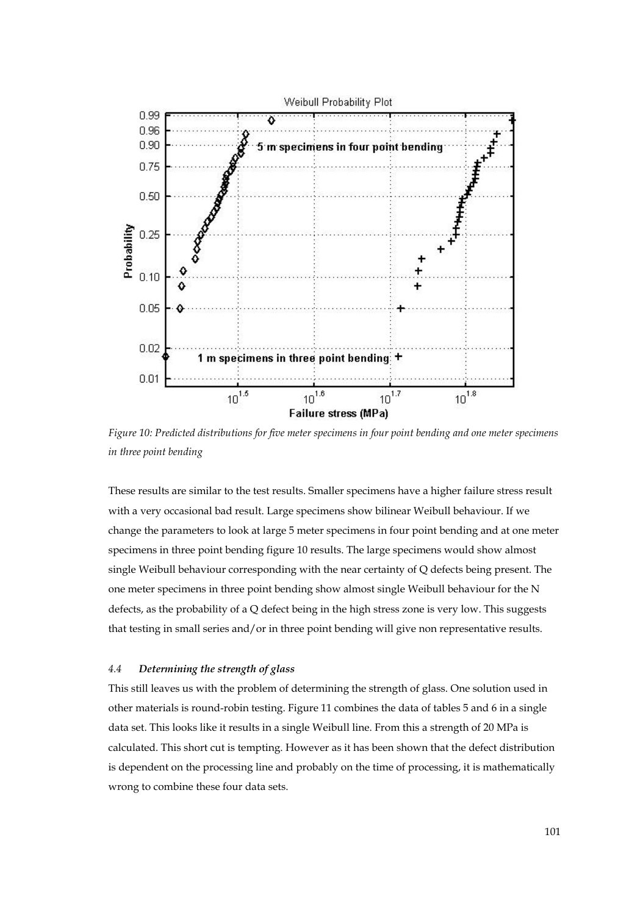

*Figure 10: Predicted distributions for five meter specimens in four point bending and one meter specimens in three point bending* 

These results are similar to the test results. Smaller specimens have a higher failure stress result with a very occasional bad result. Large specimens show bilinear Weibull behaviour. If we change the parameters to look at large 5 meter specimens in four point bending and at one meter specimens in three point bending figure 10 results. The large specimens would show almost single Weibull behaviour corresponding with the near certainty of Q defects being present. The one meter specimens in three point bending show almost single Weibull behaviour for the N defects, as the probability of a Q defect being in the high stress zone is very low. This suggests that testing in small series and/or in three point bending will give non representative results.

#### *4.4 Determining the strength of glass*

This still leaves us with the problem of determining the strength of glass. One solution used in other materials is round-robin testing. Figure 11 combines the data of tables 5 and 6 in a single data set. This looks like it results in a single Weibull line. From this a strength of 20 MPa is calculated. This short cut is tempting. However as it has been shown that the defect distribution is dependent on the processing line and probably on the time of processing, it is mathematically wrong to combine these four data sets.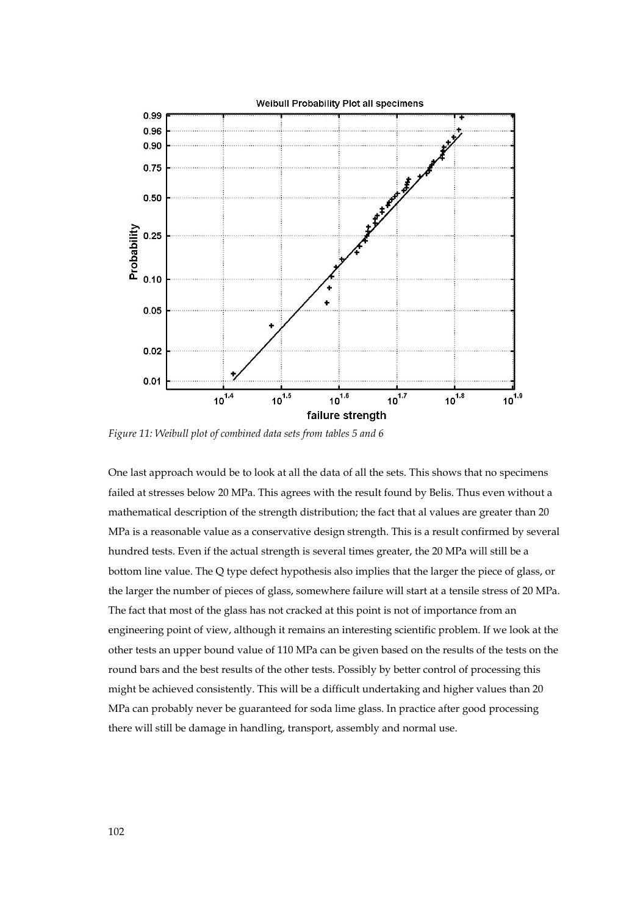

*Figure 11: Weibull plot of combined data sets from tables 5 and 6* 

One last approach would be to look at all the data of all the sets. This shows that no specimens failed at stresses below 20 MPa. This agrees with the result found by Belis. Thus even without a mathematical description of the strength distribution; the fact that al values are greater than 20 MPa is a reasonable value as a conservative design strength. This is a result confirmed by several hundred tests. Even if the actual strength is several times greater, the 20 MPa will still be a bottom line value. The Q type defect hypothesis also implies that the larger the piece of glass, or the larger the number of pieces of glass, somewhere failure will start at a tensile stress of 20 MPa. The fact that most of the glass has not cracked at this point is not of importance from an engineering point of view, although it remains an interesting scientific problem. If we look at the other tests an upper bound value of 110 MPa can be given based on the results of the tests on the round bars and the best results of the other tests. Possibly by better control of processing this might be achieved consistently. This will be a difficult undertaking and higher values than 20 MPa can probably never be guaranteed for soda lime glass. In practice after good processing there will still be damage in handling, transport, assembly and normal use.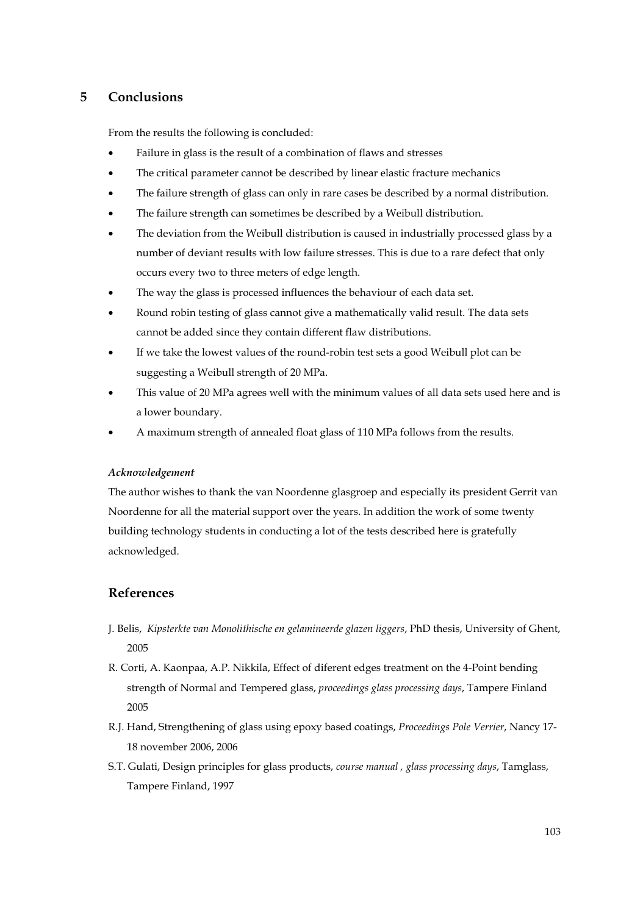## **5 Conclusions**

From the results the following is concluded:

- Failure in glass is the result of a combination of flaws and stresses
- The critical parameter cannot be described by linear elastic fracture mechanics
- The failure strength of glass can only in rare cases be described by a normal distribution.
- The failure strength can sometimes be described by a Weibull distribution.
- The deviation from the Weibull distribution is caused in industrially processed glass by a number of deviant results with low failure stresses. This is due to a rare defect that only occurs every two to three meters of edge length.
- The way the glass is processed influences the behaviour of each data set.
- Round robin testing of glass cannot give a mathematically valid result. The data sets cannot be added since they contain different flaw distributions.
- If we take the lowest values of the round-robin test sets a good Weibull plot can be suggesting a Weibull strength of 20 MPa.
- This value of 20 MPa agrees well with the minimum values of all data sets used here and is a lower boundary.
- A maximum strength of annealed float glass of 110 MPa follows from the results.

#### *Acknowledgement*

The author wishes to thank the van Noordenne glasgroep and especially its president Gerrit van Noordenne for all the material support over the years. In addition the work of some twenty building technology students in conducting a lot of the tests described here is gratefully acknowledged.

## **References**

- J. Belis, *Kipsterkte van Monolithische en gelamineerde glazen liggers*, PhD thesis, University of Ghent, 2005
- R. Corti, A. Kaonpaa, A.P. Nikkila, Effect of diferent edges treatment on the 4-Point bending strength of Normal and Tempered glass, *proceedings glass processing days*, Tampere Finland 2005
- R.J. Hand, Strengthening of glass using epoxy based coatings, *Proceedings Pole Verrier*, Nancy 17- 18 november 2006, 2006
- S.T. Gulati, Design principles for glass products, *course manual , glass processing days*, Tamglass, Tampere Finland, 1997